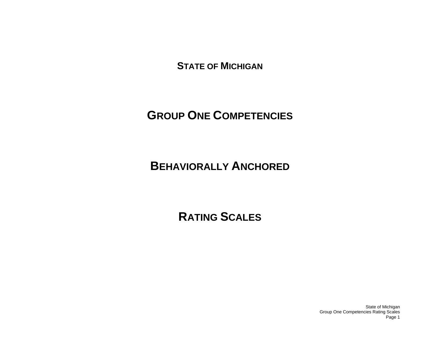**STATE OF MICHIGAN**

# **GROUP ONE COMPETENCIES**

# **BEHAVIORALLY ANCHORED**

# **RATING SCALES**

State of Michigan Group One Competencies Rating Scales Page 1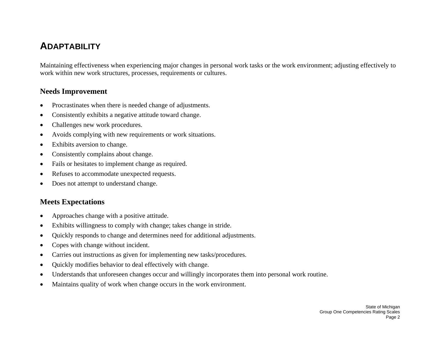# **ADAPTABILITY**

Maintaining effectiveness when experiencing major changes in personal work tasks or the work environment; adjusting effectively to work within new work structures, processes, requirements or cultures.

#### **Needs Improvement**

- •Procrastinates when there is needed change of adjustments.
- •Consistently exhibits a negative attitude toward change.
- •Challenges new work procedures.
- •Avoids complying with new requirements or work situations.
- •Exhibits aversion to change.
- •Consistently complains about change.
- •Fails or hesitates to implement change as required.
- •Refuses to accommodate unexpected requests.
- •Does not attempt to understand change.

- •Approaches change with a positive attitude.
- •Exhibits willingness to comply with change; takes change in stride.
- •Quickly responds to change and determines need for additional adjustments.
- •Copes with change without incident.
- •Carries out instructions as given for implementing new tasks/procedures.
- •Quickly modifies behavior to deal effectively with change.
- •Understands that unforeseen changes occur and willingly incorporates them into personal work routine.
- •Maintains quality of work when change occurs in the work environment.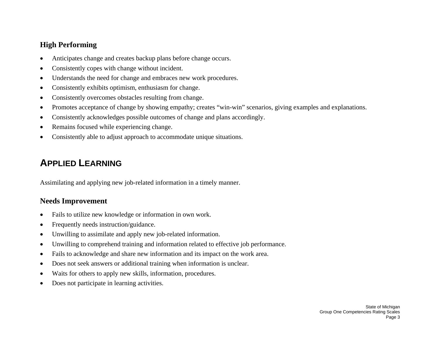- •Anticipates change and creates backup plans before change occurs.
- •Consistently copes with change without incident.
- •Understands the need for change and embraces new work procedures.
- •Consistently exhibits optimism, enthusiasm for change.
- •Consistently overcomes obstacles resulting from change.
- •Promotes acceptance of change by showing empathy; creates "win-win" scenarios, giving examples and explanations.
- •Consistently acknowledges possible outcomes of change and plans accordingly.
- •Remains focused while experiencing change.
- •Consistently able to adjust approach to accommodate unique situations.

# **APPLIED LEARNING**

Assimilating and applying new job-related information in a timely manner.

- •Fails to utilize new knowledge or information in own work.
- •Frequently needs instruction/guidance.
- •Unwilling to assimilate and apply new job-related information.
- •Unwilling to comprehend training and information related to effective job performance.
- •Fails to acknowledge and share new information and its impact on the work area.
- •Does not seek answers or additional training when information is unclear.
- •Waits for others to apply new skills, information, procedures.
- •Does not participate in learning activities.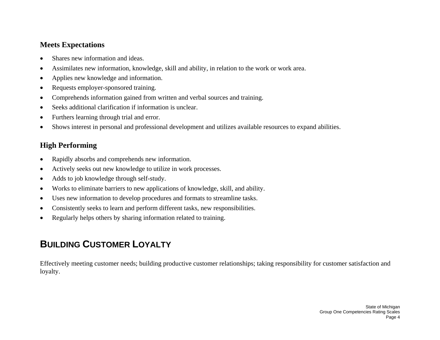- •Shares new information and ideas.
- •Assimilates new information, knowledge, skill and ability, in relation to the work or work area.
- •Applies new knowledge and information.
- •Requests employer-sponsored training.
- •Comprehends information gained from written and verbal sources and training.
- •Seeks additional clarification if information is unclear.
- •Furthers learning through trial and error.
- •Shows interest in personal and professional development and utilizes available resources to expand abilities.

## **High Performing**

- •Rapidly absorbs and comprehends new information.
- •Actively seeks out new knowledge to utilize in work processes.
- •Adds to job knowledge through self-study.
- •Works to eliminate barriers to new applications of knowledge, skill, and ability.
- •Uses new information to develop procedures and formats to streamline tasks.
- •Consistently seeks to learn and perform different tasks, new responsibilities.
- •Regularly helps others by sharing information related to training.

# **BUILDING CUSTOMER LOYALTY**

Effectively meeting customer needs; building productive customer relationships; taking responsibility for customer satisfaction and loyalty.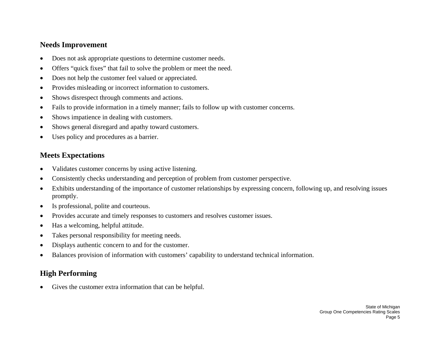#### **Needs Improvement**

- •Does not ask appropriate questions to determine customer needs.
- •Offers "quick fixes" that fail to solve the problem or meet the need.
- •Does not help the customer feel valued or appreciated.
- •Provides misleading or incorrect information to customers.
- •Shows disrespect through comments and actions.
- •Fails to provide information in a timely manner; fails to follow up with customer concerns.
- •Shows impatience in dealing with customers.
- •Shows general disregard and apathy toward customers.
- •Uses policy and procedures as a barrier.

## **Meets Expectations**

- •Validates customer concerns by using active listening.
- •Consistently checks understanding and perception of problem from customer perspective.
- • Exhibits understanding of the importance of customer relationships by expressing concern, following up, and resolving issues promptly.
- •Is professional, polite and courteous.
- •Provides accurate and timely responses to customers and resolves customer issues.
- •Has a welcoming, helpful attitude.
- •Takes personal responsibility for meeting needs.
- •Displays authentic concern to and for the customer.
- •Balances provision of information with customers' capability to understand technical information.

# **High Performing**

•Gives the customer extra information that can be helpful.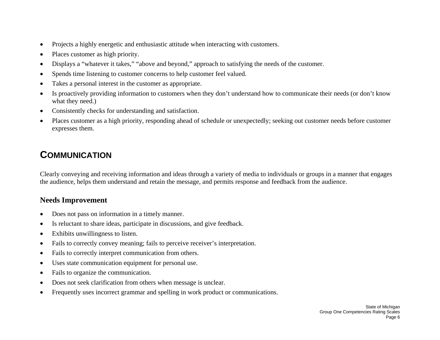- •Projects a highly energetic and enthusiastic attitude when interacting with customers.
- •Places customer as high priority.
- •Displays a "whatever it takes," "above and beyond," approach to satisfying the needs of the customer.
- •Spends time listening to customer concerns to help customer feel valued.
- •Takes a personal interest in the customer as appropriate.
- • Is proactively providing information to customers when they don't understand how to communicate their needs (or don't know what they need.)
- •Consistently checks for understanding and satisfaction.
- • Places customer as a high priority, responding ahead of schedule or unexpectedly; seeking out customer needs before customer expresses them.

# **COMMUNICATION**

Clearly conveying and receiving information and ideas through a variety of media to individuals or groups in a manner that engages the audience, helps them understand and retain the message, and permits response and feedback from the audience.

- •Does not pass on information in a timely manner.
- •Is reluctant to share ideas, participate in discussions, and give feedback.
- •Exhibits unwillingness to listen.
- $\bullet$ Fails to correctly convey meaning; fails to perceive receiver's interpretation.
- •Fails to correctly interpret communication from others.
- •Uses state communication equipment for personal use.
- •Fails to organize the communication.
- •Does not seek clarification from others when message is unclear.
- •Frequently uses incorrect grammar and spelling in work product or communications.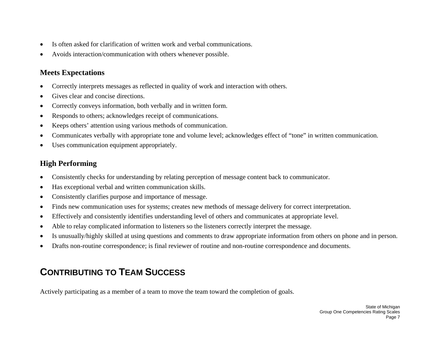- •Is often asked for clarification of written work and verbal communications.
- •Avoids interaction/communication with others whenever possible.

- •Correctly interprets messages as reflected in quality of work and interaction with others.
- •Gives clear and concise directions.
- •Correctly conveys information, both verbally and in written form.
- •Responds to others; acknowledges receipt of communications.
- •Keeps others' attention using various methods of communication.
- •Communicates verbally with appropriate tone and volume level; acknowledges effect of "tone" in written communication.
- •Uses communication equipment appropriately.

# **High Performing**

- •Consistently checks for understanding by relating perception of message content back to communicator.
- •Has exceptional verbal and written communication skills.
- •Consistently clarifies purpose and importance of message.
- •Finds new communication uses for systems; creates new methods of message delivery for correct interpretation.
- •Effectively and consistently identifies understanding level of others and communicates at appropriate level.
- •Able to relay complicated information to listeners so the listeners correctly interpret the message.
- •Is unusually/highly skilled at using questions and comments to draw appropriate information from others on phone and in person.
- •Drafts non-routine correspondence; is final reviewer of routine and non-routine correspondence and documents.

# **CONTRIBUTING TO TEAM SUCCESS**

Actively participating as a member of a team to move the team toward the completion of goals.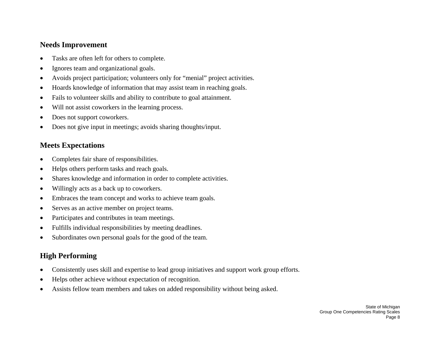#### **Needs Improvement**

- •Tasks are often left for others to complete.
- •Ignores team and organizational goals.
- •Avoids project participation; volunteers only for "menial" project activities.
- •Hoards knowledge of information that may assist team in reaching goals.
- •Fails to volunteer skills and ability to contribute to goal attainment.
- •Will not assist coworkers in the learning process.
- •Does not support coworkers.
- •Does not give input in meetings; avoids sharing thoughts/input.

### **Meets Expectations**

- •Completes fair share of responsibilities.
- •Helps others perform tasks and reach goals.
- •Shares knowledge and information in order to complete activities.
- •Willingly acts as a back up to coworkers.
- •Embraces the team concept and works to achieve team goals.
- •Serves as an active member on project teams.
- •Participates and contributes in team meetings.
- •Fulfills individual responsibilities by meeting deadlines.
- •Subordinates own personal goals for the good of the team.

- •Consistently uses skill and expertise to lead group initiatives and support work group efforts.
- •Helps other achieve without expectation of recognition.
- •Assists fellow team members and takes on added responsibility without being asked.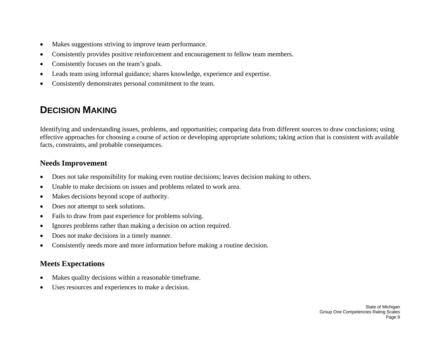- •Makes suggestions striving to improve team performance.
- •Consistently provides positive reinforcement and encouragement to fellow team members.
- •Consistently focuses on the team's goals.
- •Leads team using informal guidance; shares knowledge, experience and expertise.
- •Consistently demonstrates personal commitment to the team.

# **DECISION MAKING**

Identifying and understanding issues, problems, and opportunities; comparing data from different sources to draw conclusions; using effective approaches for choosing a course of action or developing appropriate solutions; taking action that is consistent with available facts, constraints, and probable consequences.

#### **Needs Improvement**

- •Does not take responsibility for making even routine decisions; leaves decision making to others.
- •Unable to make decisions on issues and problems related to work area.
- •Makes decisions beyond scope of authority.
- •Does not attempt to seek solutions.
- •Fails to draw from past experience for problems solving.
- •Ignores problems rather than making a decision on action required.
- •Does not make decisions in a timely manner.
- •Consistently needs more and more information before making a routine decision.

- •Makes quality decisions within a reasonable timeframe.
- •Uses resources and experiences to make a decision.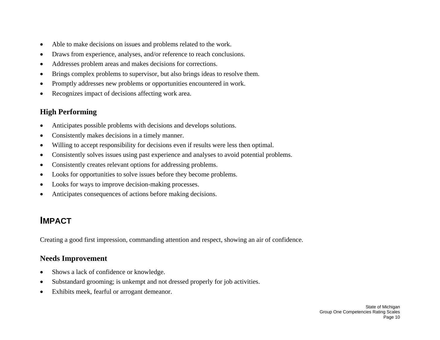- •Able to make decisions on issues and problems related to the work.
- •Draws from experience, analyses, and/or reference to reach conclusions.
- •Addresses problem areas and makes decisions for corrections.
- •Brings complex problems to supervisor, but also brings ideas to resolve them.
- •Promptly addresses new problems or opportunities encountered in work.
- •Recognizes impact of decisions affecting work area.

- •Anticipates possible problems with decisions and develops solutions.
- •Consistently makes decisions in a timely manner.
- •Willing to accept responsibility for decisions even if results were less then optimal.
- •Consistently solves issues using past experience and analyses to avoid potential problems.
- •Consistently creates relevant options for addressing problems.
- •Looks for opportunities to solve issues before they become problems.
- •Looks for ways to improve decision-making processes.
- $\bullet$ Anticipates consequences of actions before making decisions.

# **IMPACT**

Creating a good first impression, commanding attention and respect, showing an air of confidence.

- •Shows a lack of confidence or knowledge.
- •Substandard grooming; is unkempt and not dressed properly for job activities.
- •Exhibits meek, fearful or arrogant demeanor.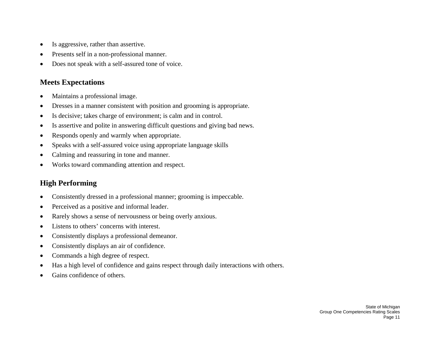- •Is aggressive, rather than assertive.
- •Presents self in a non-professional manner.
- •Does not speak with a self-assured tone of voice.

- •Maintains a professional image.
- •Dresses in a manner consistent with position and grooming is appropriate.
- •Is decisive; takes charge of environment; is calm and in control.
- •Is assertive and polite in answering difficult questions and giving bad news.
- •Responds openly and warmly when appropriate.
- •Speaks with a self-assured voice using appropriate language skills
- •Calming and reassuring in tone and manner.
- •Works toward commanding attention and respect.

- •Consistently dressed in a professional manner; grooming is impeccable.
- •Perceived as a positive and informal leader.
- •Rarely shows a sense of nervousness or being overly anxious.
- •Listens to others' concerns with interest.
- •Consistently displays a professional demeanor.
- •Consistently displays an air of confidence.
- •Commands a high degree of respect.
- •Has a high level of confidence and gains respect through daily interactions with others.
- •Gains confidence of others.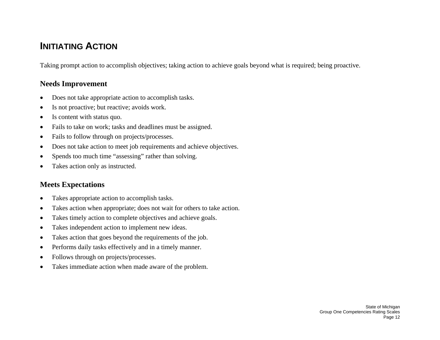# **INITIATING ACTION**

Taking prompt action to accomplish objectives; taking action to achieve goals beyond what is required; being proactive.

#### **Needs Improvement**

- •Does not take appropriate action to accomplish tasks.
- •Is not proactive; but reactive; avoids work.
- •Is content with status quo.
- •Fails to take on work; tasks and deadlines must be assigned.
- •Fails to follow through on projects/processes.
- •Does not take action to meet job requirements and achieve objectives.
- •Spends too much time "assessing" rather than solving.
- •Takes action only as instructed.

- •Takes appropriate action to accomplish tasks.
- •Takes action when appropriate; does not wait for others to take action.
- •Takes timely action to complete objectives and achieve goals.
- •Takes independent action to implement new ideas.
- •Takes action that goes beyond the requirements of the job.
- •Performs daily tasks effectively and in a timely manner.
- •Follows through on projects/processes.
- $\bullet$ Takes immediate action when made aware of the problem.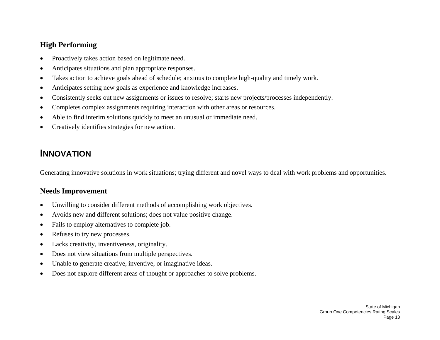- •Proactively takes action based on legitimate need.
- •Anticipates situations and plan appropriate responses.
- •Takes action to achieve goals ahead of schedule; anxious to complete high-quality and timely work.
- •Anticipates setting new goals as experience and knowledge increases.
- •Consistently seeks out new assignments or issues to resolve; starts new projects/processes independently.
- •Completes complex assignments requiring interaction with other areas or resources.
- •Able to find interim solutions quickly to meet an unusual or immediate need.
- $\bullet$ Creatively identifies strategies for new action.

# **INNOVATION**

Generating innovative solutions in work situations; trying different and novel ways to deal with work problems and opportunities.

- •Unwilling to consider different methods of accomplishing work objectives.
- •Avoids new and different solutions; does not value positive change.
- •Fails to employ alternatives to complete job.
- •Refuses to try new processes.
- •Lacks creativity, inventiveness, originality.
- •Does not view situations from multiple perspectives.
- •Unable to generate creative, inventive, or imaginative ideas.
- •Does not explore different areas of thought or approaches to solve problems.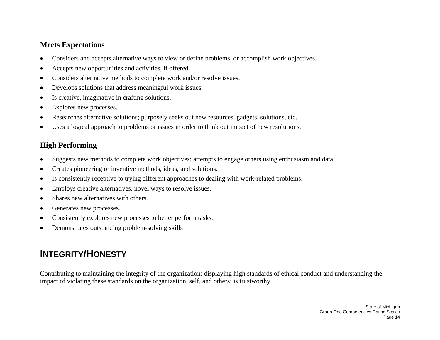- •Considers and accepts alternative ways to view or define problems, or accomplish work objectives.
- •Accepts new opportunities and activities, if offered.
- •Considers alternative methods to complete work and/or resolve issues.
- •Develops solutions that address meaningful work issues.
- •Is creative, imaginative in crafting solutions.
- •Explores new processes.
- •Researches alternative solutions; purposely seeks out new resources, gadgets, solutions, etc.
- •Uses a logical approach to problems or issues in order to think out impact of new resolutions.

## **High Performing**

- •Suggests new methods to complete work objectives; attempts to engage others using enthusiasm and data.
- •Creates pioneering or inventive methods, ideas, and solutions.
- •Is consistently receptive to trying different approaches to dealing with work-related problems.
- •Employs creative alternatives, novel ways to resolve issues.
- •Shares new alternatives with others.
- •Generates new processes.
- •Consistently explores new processes to better perform tasks.
- •Demonstrates outstanding problem-solving skills

# **INTEGRITY/HONESTY**

Contributing to maintaining the integrity of the organization; displaying high standards of ethical conduct and understanding the impact of violating these standards on the organization, self, and others; is trustworthy.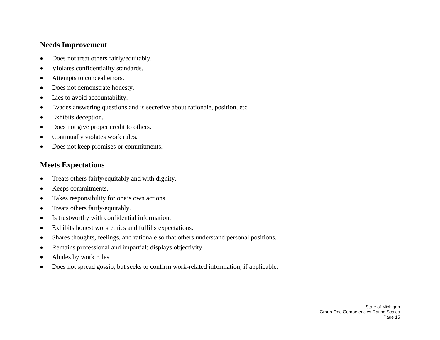#### **Needs Improvement**

- •Does not treat others fairly/equitably.
- •Violates confidentiality standards.
- •Attempts to conceal errors.
- •Does not demonstrate honesty.
- •Lies to avoid accountability.
- •Evades answering questions and is secretive about rationale, position, etc.
- $\bullet$ Exhibits deception.
- •Does not give proper credit to others.
- •Continually violates work rules.
- •Does not keep promises or commitments.

- •Treats others fairly/equitably and with dignity.
- •Keeps commitments.
- •Takes responsibility for one's own actions.
- •Treats others fairly/equitably.
- •Is trustworthy with confidential information.
- •Exhibits honest work ethics and fulfills expectations.
- •Shares thoughts, feelings, and rationale so that others understand personal positions.
- •Remains professional and impartial; displays objectivity.
- •Abides by work rules.
- •Does not spread gossip, but seeks to confirm work-related information, if applicable.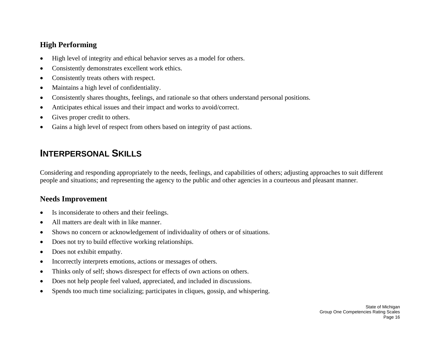- •High level of integrity and ethical behavior serves as a model for others.
- •Consistently demonstrates excellent work ethics.
- •Consistently treats others with respect.
- •Maintains a high level of confidentiality.
- •Consistently shares thoughts, feelings, and rationale so that others understand personal positions.
- •Anticipates ethical issues and their impact and works to avoid/correct.
- $\bullet$ Gives proper credit to others.
- •Gains a high level of respect from others based on integrity of past actions.

# **INTERPERSONAL SKILLS**

Considering and responding appropriately to the needs, feelings, and capabilities of others; adjusting approaches to suit different people and situations; and representing the agency to the public and other agencies in a courteous and pleasant manner.

- •Is inconsiderate to others and their feelings.
- •All matters are dealt with in like manner.
- •Shows no concern or acknowledgement of individuality of others or of situations.
- •Does not try to build effective working relationships.
- •Does not exhibit empathy.
- •Incorrectly interprets emotions, actions or messages of others.
- •Thinks only of self; shows disrespect for effects of own actions on others.
- •Does not help people feel valued, appreciated, and included in discussions.
- •Spends too much time socializing; participates in cliques, gossip, and whispering.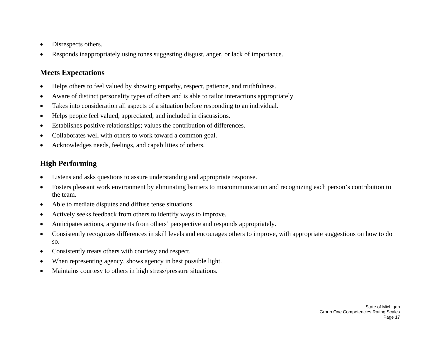- •Disrespects others.
- •Responds inappropriately using tones suggesting disgust, anger, or lack of importance.

- •Helps others to feel valued by showing empathy, respect, patience, and truthfulness.
- •Aware of distinct personality types of others and is able to tailor interactions appropriately.
- •Takes into consideration all aspects of a situation before responding to an individual.
- •Helps people feel valued, appreciated, and included in discussions.
- •Establishes positive relationships; values the contribution of differences.
- •Collaborates well with others to work toward a common goal.
- •Acknowledges needs, feelings, and capabilities of others.

- •Listens and asks questions to assure understanding and appropriate response.
- • Fosters pleasant work environment by eliminating barriers to miscommunication and recognizing each person's contribution to the team.
- •Able to mediate disputes and diffuse tense situations.
- •Actively seeks feedback from others to identify ways to improve.
- •Anticipates actions, arguments from others' perspective and responds appropriately.
- • Consistently recognizes differences in skill levels and encourages others to improve, with appropriate suggestions on how to do so.
- •Consistently treats others with courtesy and respect.
- •When representing agency, shows agency in best possible light.
- •Maintains courtesy to others in high stress/pressure situations.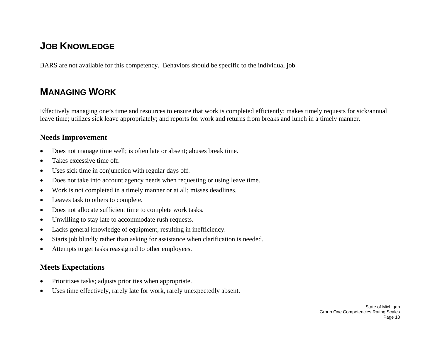# **JOB KNOWLEDGE**

BARS are not available for this competency. Behaviors should be specific to the individual job.

# **MANAGING WORK**

Effectively managing one's time and resources to ensure that work is completed efficiently; makes timely requests for sick/annual leave time; utilizes sick leave appropriately; and reports for work and returns from breaks and lunch in a timely manner.

#### **Needs Improvement**

- •Does not manage time well; is often late or absent; abuses break time.
- •Takes excessive time off.
- •Uses sick time in conjunction with regular days off.
- •Does not take into account agency needs when requesting or using leave time.
- •Work is not completed in a timely manner or at all; misses deadlines.
- •Leaves task to others to complete.
- •Does not allocate sufficient time to complete work tasks.
- •Unwilling to stay late to accommodate rush requests.
- •Lacks general knowledge of equipment, resulting in inefficiency.
- •Starts job blindly rather than asking for assistance when clarification is needed.
- •Attempts to get tasks reassigned to other employees.

- •Prioritizes tasks; adjusts priorities when appropriate.
- •Uses time effectively, rarely late for work, rarely unexpectedly absent.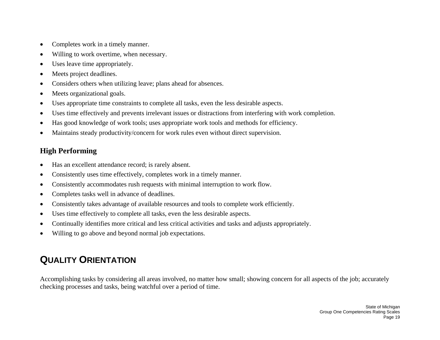- •Completes work in a timely manner.
- •Willing to work overtime, when necessary.
- •Uses leave time appropriately.
- •Meets project deadlines.
- •Considers others when utilizing leave; plans ahead for absences.
- •Meets organizational goals.
- •Uses appropriate time constraints to complete all tasks, even the less desirable aspects.
- •Uses time effectively and prevents irrelevant issues or distractions from interfering with work completion.
- •Has good knowledge of work tools; uses appropriate work tools and methods for efficiency.
- •Maintains steady productivity/concern for work rules even without direct supervision.

- •Has an excellent attendance record; is rarely absent.
- •Consistently uses time effectively, completes work in a timely manner.
- •Consistently accommodates rush requests with minimal interruption to work flow.
- •Completes tasks well in advance of deadlines.
- •Consistently takes advantage of available resources and tools to complete work efficiently.
- •Uses time effectively to complete all tasks, even the less desirable aspects.
- •Continually identifies more critical and less critical activities and tasks and adjusts appropriately.
- •Willing to go above and beyond normal job expectations.

# **QUALITY ORIENTATION**

Accomplishing tasks by considering all areas involved, no matter how small; showing concern for all aspects of the job; accurately checking processes and tasks, being watchful over a period of time.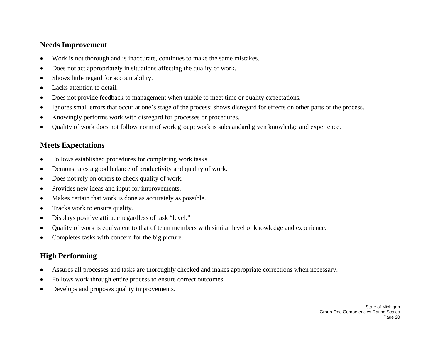#### **Needs Improvement**

- •Work is not thorough and is inaccurate, continues to make the same mistakes.
- •Does not act appropriately in situations affecting the quality of work.
- •Shows little regard for accountability.
- •Lacks attention to detail.
- •Does not provide feedback to management when unable to meet time or quality expectations.
- •Ignores small errors that occur at one's stage of the process; shows disregard for effects on other parts of the process.
- •Knowingly performs work with disregard for processes or procedures.
- •Quality of work does not follow norm of work group; work is substandard given knowledge and experience.

### **Meets Expectations**

- •Follows established procedures for completing work tasks.
- •Demonstrates a good balance of productivity and quality of work.
- •Does not rely on others to check quality of work.
- •Provides new ideas and input for improvements.
- •Makes certain that work is done as accurately as possible.
- •Tracks work to ensure quality.
- •Displays positive attitude regardless of task "level."
- •Quality of work is equivalent to that of team members with similar level of knowledge and experience.
- •Completes tasks with concern for the big picture.

- •Assures all processes and tasks are thoroughly checked and makes appropriate corrections when necessary.
- •Follows work through entire process to ensure correct outcomes.
- •Develops and proposes quality improvements.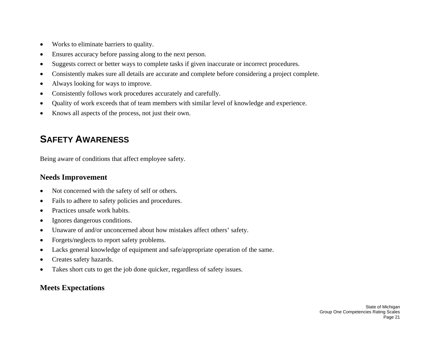- •Works to eliminate barriers to quality.
- •Ensures accuracy before passing along to the next person.
- •Suggests correct or better ways to complete tasks if given inaccurate or incorrect procedures.
- •Consistently makes sure all details are accurate and complete before considering a project complete.
- •Always looking for ways to improve.
- •Consistently follows work procedures accurately and carefully.
- •Quality of work exceeds that of team members with similar level of knowledge and experience.
- $\bullet$ Knows all aspects of the process, not just their own.

# **SAFETY AWARENESS**

Being aware of conditions that affect employee safety.

### **Needs Improvement**

- •Not concerned with the safety of self or others.
- •Fails to adhere to safety policies and procedures.
- •Practices unsafe work habits.
- •Ignores dangerous conditions.
- •Unaware of and/or unconcerned about how mistakes affect others' safety.
- •Forgets/neglects to report safety problems.
- •Lacks general knowledge of equipment and safe/appropriate operation of the same.
- •Creates safety hazards.
- •Takes short cuts to get the job done quicker, regardless of safety issues.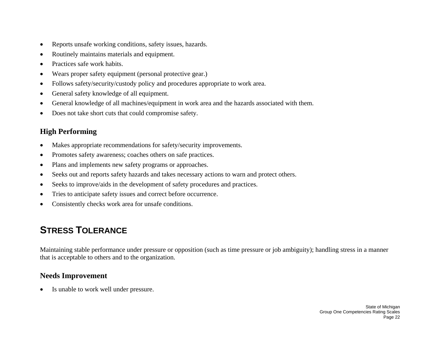- •Reports unsafe working conditions, safety issues, hazards.
- •Routinely maintains materials and equipment.
- •Practices safe work habits.
- •Wears proper safety equipment (personal protective gear.)
- •Follows safety/security/custody policy and procedures appropriate to work area.
- •General safety knowledge of all equipment.
- •General knowledge of all machines/equipment in work area and the hazards associated with them.
- •Does not take short cuts that could compromise safety.

- •Makes appropriate recommendations for safety/security improvements.
- •Promotes safety awareness; coaches others on safe practices.
- •Plans and implements new safety programs or approaches.
- •Seeks out and reports safety hazards and takes necessary actions to warn and protect others.
- •Seeks to improve/aids in the development of safety procedures and practices.
- $\bullet$ Tries to anticipate safety issues and correct before occurrence.
- $\bullet$ Consistently checks work area for unsafe conditions.

# **STRESS TOLERANCE**

Maintaining stable performance under pressure or opposition (such as time pressure or job ambiguity); handling stress in a manner that is acceptable to others and to the organization.

## **Needs Improvement**

•Is unable to work well under pressure.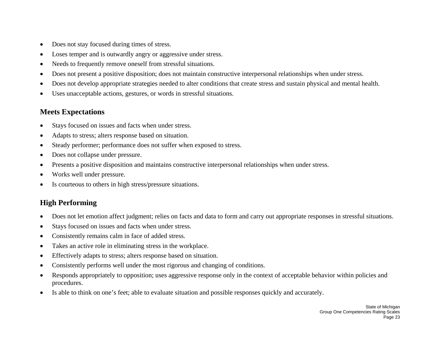- •Does not stay focused during times of stress.
- •Loses temper and is outwardly angry or aggressive under stress.
- •Needs to frequently remove oneself from stressful situations.
- •Does not present a positive disposition; does not maintain constructive interpersonal relationships when under stress.
- •Does not develop appropriate strategies needed to alter conditions that create stress and sustain physical and mental health.
- •Uses unacceptable actions, gestures, or words in stressful situations.

- •Stays focused on issues and facts when under stress.
- •Adapts to stress; alters response based on situation.
- •Steady performer; performance does not suffer when exposed to stress.
- •Does not collapse under pressure.
- •Presents a positive disposition and maintains constructive interpersonal relationships when under stress.
- •Works well under pressure.
- •Is courteous to others in high stress/pressure situations.

- $\bullet$ Does not let emotion affect judgment; relies on facts and data to form and carry out appropriate responses in stressful situations.
- •Stays focused on issues and facts when under stress.
- •Consistently remains calm in face of added stress.
- •Takes an active role in eliminating stress in the workplace.
- •Effectively adapts to stress; alters response based on situation.
- •Consistently performs well under the most rigorous and changing of conditions.
- • Responds appropriately to opposition; uses aggressive response only in the context of acceptable behavior within policies and procedures.
- $\bullet$ Is able to think on one's feet; able to evaluate situation and possible responses quickly and accurately.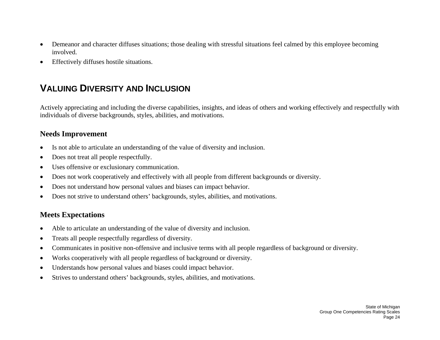- • Demeanor and character diffuses situations; those dealing with stressful situations feel calmed by this employee becoming involved.
- $\bullet$ Effectively diffuses hostile situations.

# **VALUING DIVERSITY AND INCLUSION**

Actively appreciating and including the diverse capabilities, insights, and ideas of others and working effectively and respectfully with individuals of diverse backgrounds, styles, abilities, and motivations.

#### **Needs Improvement**

- $\bullet$ Is not able to articulate an understanding of the value of diversity and inclusion.
- •Does not treat all people respectfully.
- •Uses offensive or exclusionary communication.
- •Does not work cooperatively and effectively with all people from different backgrounds or diversity.
- •Does not understand how personal values and biases can impact behavior.
- •Does not strive to understand others' backgrounds, styles, abilities, and motivations.

- •Able to articulate an understanding of the value of diversity and inclusion.
- •Treats all people respectfully regardless of diversity.
- •Communicates in positive non-offensive and inclusive terms with all people regardless of background or diversity.
- •Works cooperatively with all people regardless of background or diversity.
- •Understands how personal values and biases could impact behavior.
- •Strives to understand others' backgrounds, styles, abilities, and motivations.